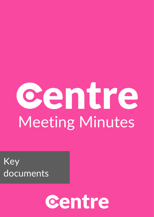# centre Meeting Minutes

Key documents

# centre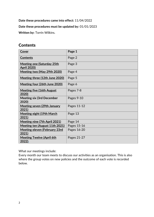**Date these procedures came into effect:** 11/04/2022

### **Date these procedures must be updated by:** 01/01/2023

**Written by:** Torrin Wilkins.

# **Contents**

| Cover                                                   | Page 1      |
|---------------------------------------------------------|-------------|
| <b>Contents</b>                                         | Page 2      |
| <b>Meeting one (Saturday 25th</b><br><b>April 2020)</b> | Page 3      |
| Meeting two (May 29th 2020)                             | Page 4      |
| Meeting three (12th June 2020)                          | Page 5      |
| Meeting four (26th June 2020)                           | Page 6      |
| <b>Meeting five (16th August)</b><br>2020)              | Pages 7-8   |
| <b>Meeting six (3rd December</b><br>2020)               | Pages 9-10  |
| <u> Meeting seven (29th January</u><br>2021)            | Pages 11-12 |
| <b>Meeting eight (19th March</b><br>2021)               | Page 13     |
| <b>Meeting nine (7th April 2021)</b>                    | Page 14     |
| Meeting ten (August 11th 2021)                          | Pages 15-16 |
| <u> Meeting eleven (February 23rd</u><br>2021)          | Pages 16-20 |
| <b>Meeting Twelve (April 6th</b><br><u> 2022):</u>      | Pages 21-27 |

What our meetings include:

Every month our team meets to discuss our activities as an organisation. This is also where the group votes on new policies and the outcome of each vote is recorded below.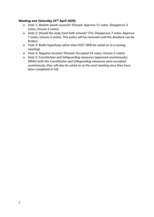### <span id="page-2-0"></span>**Meeting one (Saturday 25th April 2020)**

- Vote 1: Abolish parish councils? (Passed: Approve 11 votes, Disapprove 3 votes, Unsure 2 votes).
- Vote 2: Should the state fund faith schools? (Tie: Disapprove 7 votes, Approve 7 votes, Unsure 2 votes). This policy will be removed until the deadlock can be broken.
- Vote 3: Build Hyperloop rather than HS2? (Will be voted on in a coming meeting).
- Vote 4: Negative Income? (Passed: Accepted 14 votes, Unsure 2 votes).
- Vote 5: Constitution and Safeguarding measures (approved unanimously). Whilst both the Constitution and Safeguarding measures were accepted unanimously, they will also be voted on at the next meeting once they have been completed in full.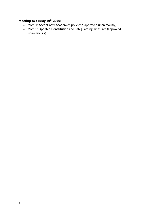## <span id="page-3-0"></span>**Meeting two (May 29th 2020)**

- Vote 1: Accept new Academies policies? (approved unanimously).
- Vote 2: Updated Constitution and Safeguarding measures (approved unanimously).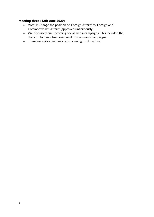### <span id="page-4-0"></span>**Meeting three (12th June 2020)**

- Vote 1: Change the position of 'Foreign Affairs' to 'Foreign and Commonwealth Affairs' (approved unanimously).
- We discussed our upcoming social media campaigns. This included the decision to move from one-week to two-week campaigns.
- There were also discussions on opening up donations.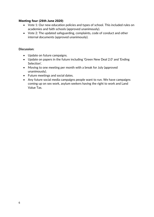### <span id="page-5-0"></span>**Meeting four (26th June 2020)**

- Vote 1: Our new education policies and types of school. This included rules on academies and faith schools (approved unanimously).
- Vote 2: The updated safeguarding, complaints, code of conduct and other internal documents (approved unanimously).

### **Discussion:**

- Update on future campaigns.
- Update on papers in the future including 'Green New Deal 2.0' and 'Ending Selection'.
- Moving to one meeting per month with a break for July (approved unanimously).
- Future meetings and social dates.
- Any future social media campaigns people want to run. We have campaigns coming up on sex work, asylum seekers having the right to work and Land Value Tax.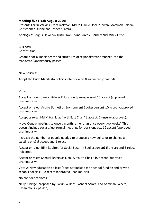### <span id="page-6-0"></span>**Meeting five (16th August 2020)**

Present: Torrin Wilkins, Dom Jackman, Md M Hamid, Joel Punwani, Aaminah Saleem, Christopher Dunne and Jasneet Samrai.

Apologies: Fergus Llewelyn Turtle, Rob Byrne, Archie Barnett and Janey Little.

### **Business:**

Constitution:

Create a social media team and structures of regional/state branches into the manifesto (Unanimously passed).

New policies:

Adopt the Pride Manifesto policies into our aims (Unanimously passed).

Votes:

Accept or reject Janey Little as Education Spokesperson? 15 accept (approved unanimously).

Accept or reject Archie Barnett as Environment Spokesperson? 10 accept (approved unanimously).

Accept or reject Md M Hamid as North East Chair? 8 accept, 1 unsure (approved).

Move Centre meetings to once a month rather than once every two weeks? This doesn't include socials, just formal meetings for decisions etc. 15 accept (approved unanimously).

Increase the number of people needed to propose a new policy or to change an existing one? 5 accept and 1 reject.

Accept or reject Billy Boulton for Social Security Spokesperson? 5 unsure and 5 reject (rejected).

Accept or reject Samuel Bryars as Deputy Youth Chair? 10 accept (approved unanimously).

Vote 2: New education policies (does not include faith school funding and private schools policies). 10 accept (approved unanimously).

No confidence votes:

Nelly Kibirige (proposed by Torrin Wilkins, Jasneet Samrai and Aaminah Saleem). (Unanimously passed).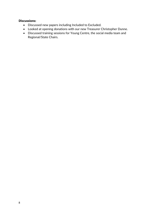### **Discussions:**

- Discussed new papers including Included to Excluded.
- Looked at opening donations with our new Treasurer Christopher Dunne.
- Discussed training sessions for Young Centre, the social media team and Regional/State Chairs.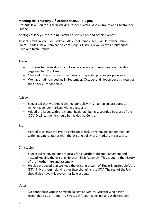### **Meeting six (Thursday 3 rd December 2020) 8-9 pm.**

Present: Jake Poulton, Torrin Wilkins, Jasneet Samrai, Ashley Routh and Christopher Dunne.

Apologies: Janey Little, Md M Hamid, Louise Jenifer and Archie Barnett.

Absent: Franklin Vaci, Joe Gellman, Alex Toal, James Steel, Joel Punwani, Danny Simm, Charles Shaw, Aaminah Saleem, Fergus Turtle, Freya Greaves, Christopher Price and Ryan Frendo.

### Torrin:

- This year has seen almost a million people see our tweets and our Facebook page reached 200 likes.
- Checked if there were any discussions on specific policies people wanted.
- We have had no meetings in September, October and November as a result of the COVID-19 pandemic.

### Ashley:

- Suggested that we should change our policy in X markers in passports to removing gender markers within passports.
- Added the issues with the mental health act being suspended because of the COVID-19 pandemic should be tackled by Centre.

### Jas:

• Agreed to change the Pride Manifesto to include removing gender markers within passports rather than the existing policy of X markers in passports.

### Christopher:

- Suggested removing our proposals for a Northern Ireland Parliament and instead keeping the existing Northern Irish Assembly. This is due to the history of the Northern Ireland assembly.
- He also proposed that we keep the existing system of Single Transferable Vote (STV) in Northern Ireland rather than changing it to STV. The rest of the UK should also have this system for its elections.

### Votes:

• No confidence vote in Aaminah Saleem as Deputy Director who hasn't responded to us in a month. 5 votes in favour, 0 against and 0 abstentions.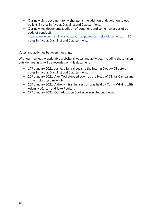- Our new aims document (only changes is the addition of devolution to each policy). 5 votes in favour, 0 against and 0 abstentions.
- Our new key documents (addition of donations and some new areas of our code of conduct): <https://www.centrethinktank.co.uk/mainpages/centrekeydocuments.html> 5 votes in favour, 0 against and 0 abstentions.

Votes and activities between meetings:

With our new easily updatable website all votes and activities, including those taken outside meetings, will be recorded on this document.

- 17<sup>th</sup> January 2021: Jasneet Samrai became the Interim Deputy Director. 4 votes in favour, 0 against and 0 abstentions.
- 20<sup>th</sup> January 2021: Alex Toal stepped down as the Head of Digital Campaigns as he is starting a new job.
- 20<sup>th</sup> January 2021: A drop-in training session was held by Torrin Wilkins with Adam McCartan and Jake Poulton.
- 29<sup>th</sup> January 2021: Our education Spokesperson stepped down.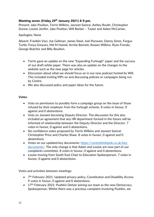### <span id="page-10-0"></span>**Meeting seven (Friday 29th January 2021) 8-9 pm.**

Present: Jake Poulton, Torrin Wilkins, Jasneet Samrai, Ashley Routh, Christopher Dunne, Louise Jenifer, Jake Poulton, Will Barber – Taylor and Adam McCartan.

### Apologies: None

Absent: Franklin Vaci, Joe Gellman, James Steel, Joel Punwani, Danny Simm, Fergus Turtle, Freya Greaves, Md M Hamid, Archie Barnett, Rowen Wilkins. Ryan Frendo, George Butcher and Billy Boulton.

- Torrin gave an update on the new "Expanding Furlough" paper and the success of our draft white paper. There was also an update on the changes to the website such as the new page for articles.
- Discussion about what we should focus on in our new podcast hosted by Will. This included inviting MPs on and discussing policies or campaigns being run by Centre.
- We also discussed policy and paper ideas for the future.

### **Votes:**

- Vote on permission to possibly form a campaign group on the issue of those refused by their employer from the furlough scheme. 8 votes in favour, 0 against and 0 abstentions.
- Vote on Jasneet becoming Deputy Director. The discussion for this also included an agreement that any HR department formed in the future will be informed of relationship between the Deputy Director and the Director. 7 votes in favour, 0 against and 0 abstentions.
- No confidence votes proposed by Torrin Wilkins and Jasneet Samrai: Christopher Price and Charles Shaw. 8 votes in favour, 0 against and 0 abstentions.
- Votes on our updated key documents: [https://centrethinktank.co.uk/key](https://centrethinktank.co.uk/key-documents/)[documents/.](https://centrethinktank.co.uk/key-documents/) The only change is that Adam and Louise are now part of our complaints committee. 8 votes in favour, 0 against and 0 abstentions.
- Louise moving from South East Chair to Education Spokesperson. 7 votes in favour, 0 against and 0 abstentions.

Votes and activities between meetings:

- 7<sup>th</sup> February 2021: Updated privacy policy, Constitution and Disability Access. 9 votes in favour, 0 against and 0 abstentions.
- 17<sup>th</sup> February 2021: Pushkin Defyer joining our team as the new Democracy Spokesperson. Whilst there was a previous complaint involving Pushkin, we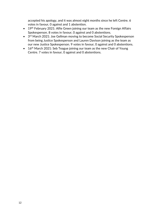accepted his apology, and it was almost eight months since he left Centre. 6 votes in favour, 0 against and 1 abstention.

- 19<sup>th</sup> February 2021: Alfie Green joining our team as the new Foreign Affairs Spokesperson. 8 votes in favour, 0 against and 0 abstentions.
- 3<sup>rd</sup> March 2021: Joe Gellman moving to become Social Security Spokesperson from being Justice Spokesperson and Lauren Davison joining as the team as our new Justice Spokesperson. 9 votes in favour, 0 against and 0 abstentions.
- 16<sup>th</sup> March 2021: Seb Teague joining our team as the new Chair of Young Centre. 7 votes in favour, 0 against and 0 abstentions.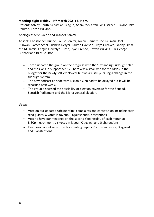### <span id="page-12-0"></span>**Meeting eight (Friday 19th March 2021) 8-9 pm.**

Present: Ashley Routh, Sebastian Teague, Adam McCartan, Will Barber – Taylor, Jake Poulton, Torrin Wilkins.

Apologies: Alfie Green and Jasneet Samrai.

Absent: Christopher Dunne, Louise Jenifer, Archie Barnett, Joe Gellman, Joel Punwani, James Steel, Pushkin Defyer, Lauren Davison, Freya Greaves, Danny Simm, Md M Hamid, Fergus Llewelyn Turtle, Ryan Frendo, Rowen Wilkins, Cllr George Butcher and Billy Boulton.

- Torrin updated the group on the progress with the "Expanding Furlough" plan and the Gaps in Support APPG. There was a small win for the APPG in the budget for the newly self-employed, but we are still pursuing a change in the furlough system.
- The new podcast episode with Melanie Onn had to be delayed but it will be recorded next week.
- The group discussed the possibility of election coverage for the Senedd, Scottish Parliament and the Manx general election.

### **Votes:**

- Vote on our updated safeguarding, complaints and constitution including easy read guides. 6 votes in favour, 0 against and 0 abstentions.
- Vote to have our meetings on the second Wednesday of each month at 8:30pm each month. 6 votes in favour, 0 against and 0 abstentions.
- Discussion about new rotas for creating papers. 6 votes in favour, 0 against and 0 abstentions.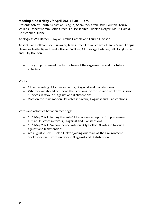### <span id="page-13-0"></span>**Meeting nine (Friday 7th April 2021) 8:30-11 pm.**

Present: Ashley Routh, Sebastian Teague, Adam McCartan, Jake Poulton, Torrin Wilkins, Jasneet Samrai, Alfie Green, Louise Jenifer, Pushkin Defyer, Md M Hamid, Christopher Dunne

Apologies: Will Barber – Taylor, Archie Barnett and Lauren Davison.

Absent: Joe Gellman, Joel Punwani, James Steel, Freya Greaves, Danny Simm, Fergus Llewelyn Turtle, Ryan Frendo, Rowen Wilkins, Cllr George Butcher, Bill Hodgkinson and Billy Boulton.

• The group discussed the future form of the organisation and our future activities.

### **Votes:**

- Closed meeting. 11 votes in favour, 0 against and 0 abstentions.
- Whether we should postpone the decisions for this session until next session. 10 votes in favour, 1 against and 0 abstentions.
- Vote on the main motion. 11 votes in favour, 1 against and 0 abstentions.

Votes and activities between meetings:

- 18<sup>th</sup> May 2021: Joining the anti-11+ coalition set up by Comprehensive Future. 12 votes in favour, 0 against and 0 abstentions.
- 18<sup>th</sup> May 2021: No confidence vote on Billy Bolton. 8 votes in favour, 0 against and 0 abstentions.
- 4<sup>th</sup> August 2021: Pushkin Defyer joining our team as the Environment Spokesperson. 8 votes in favour, 0 against and 0 abstention.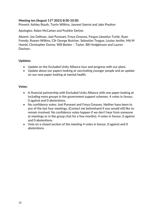### <span id="page-14-0"></span>**Meeting ten (August 11th 2021) 8:30-10:30:**

Present: Ashley Routh, Torrin Wilkins, Jasneet Samrai and Jake Poulton

Apologies: Adam McCartan and Pushkin Defyer.

Absent: Joe Gellman, Joel Punwani, Freya Greaves, Fergus Llewelyn Turtle, Ryan Frendo, Rowen Wilkins, Cllr George Butcher, Sebastian Teague, Louise Jenifer, Md M Hamid, Christopher Dunne, Will Barber – Taylor, Bill Hodgkinson and Lauren Davison.

### **Updates:**

- Update on the Excluded Unity Alliance tour and progress with our plans.
- Update about our papers looking at vaccinating younger people and an update on our new paper looking at mental health.

### **Votes:**

- A financial partnership with Excluded Unity Alliance with one paper looking at including more groups in the government support schemes. 4 votes in favour, 0 against and 0 abstentions.
- No confidence votes: Joel Punwani and Freya Greaves. Neither have been to any of the last four meetings. (Contact me beforehand if you would still like to remain involved. No confidence votes happen if we don't hear from someone at meetings or in the group chat for a few months). 4 votes in favour, 0 against and 0 abstentions.
- Vote on a closed section of the meeting 4 votes in favour, 0 against and 0 abstentions.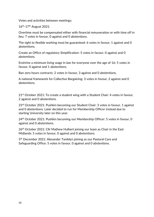Votes and activities between meetings:

16th-17th August 2021:

Overtime must be compensated either with financial remuneration or with time off in lieu: 7 votes in favour, 0 against and 0 abstentions.

The right to flexible working must be guaranteed: 6 votes in favour, 1 against and 0 abstentions.

Create an Office of regulatory Simplification: 5 votes in favour, 0 against and 0 abstentions.

Enshrine a minimum living wage in law for everyone over the age of 16: 5 votes in favour, 0 against and 1 abstentions.

Ban zero hours contracts: 2 votes in favour, 3 against and 0 abstentions.

A national framework for Collective Bargaining: 3 votes in favour, 2 against and 0 abstentions.

21<sup>st</sup> October 2021: To create a student wing with a Student Chair: 4 votes in favour, 2 against and 0 abstentions.

23rd October 2021: Pushkin becoming our Student Chair: 3 votes in favour, 1 against and 0 abstentions. Later decided to run for Membership Officer instead due to starting University later on this year.

24<sup>th</sup> October 2021: Pushkin becoming our Membership Officer: 5 votes in favour, 0 against and 0 abstentions.

26<sup>th</sup> October 2021: Cllr Mathew Hulbert joining our team as Chair in the East Midlands: 5 votes in favour, 0 against and 0 abstentions.

5<sup>th</sup> December 2021: Alexander Tamblyn joining as our Pastoral Care and Safeguarding Office: 5 votes in favour, 0 against and 0 abstentions.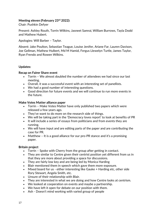### <span id="page-16-0"></span>**Meeting eleven (February 23rd 2022):**

Chair: Pushkin Defyer

Present: Ashley Routh, Torrin Wilkins, Jasneet Samrai, William Burrows, Tayla Dodd and Mathew Hubert.

Apologies: Will Barber – Taylor.

Absent: Jake Poulton, Sebastian Teague, Louise Jenifer, Ariane Far, Lauren Davison, Joe Gellman, Mathew Hulbert, Md M Hamid, Fergus Llewelyn Turtle, James Taylor, Ryan Frendo and Rowen Wilkins.

### **Updates:**

### **Recap on Fairer Share event**

- Torrin We almost doubled the number of attendees we had since our last meeting.
- Overall, it was a successful event with an interesting set of panellists.
- We had a good number of interesting questions.
- Good direction for future events and we will continue to run more events in the future.

### **Make Votes Matter alliance paper**

- Torrin Make Votes Matter have only published two papers which were released a few years ago.
- They've want to do more on the research side of things.
- We will be taking part in the 'Democracy loves report' to look at benefits of PR
- It will include a series of essays from politicians and from events they are running.
- We will have input and are editing parts of the paper and are contributing the case for PR.
- Matthew It is a good alliance for our pro-PR stance and it's a promising paper.

### **Britain project**

- Torrin Spoke with Cherry from the group after getting in contact.
- They are similar to Centre given their centrist position yet different from us in that they are more about providing a space for discussions.
- They are fairly low key and are being led by Monica Harding
- Blair mentioned them in speech which gave them more exposure.
- Mixed board for us either interesting like Gauke + Harding etc, other side Rory Stewart, Angela Smith, etc.
- Unsure of their relationship with Blair.
- They are interested in what we are doing and how Centre looks at centrism.
- We looked at cooperation on events and maybe a partnership.
- We have left it open for debate on our position with them.
- Ash Doesn't mind working with varied group of people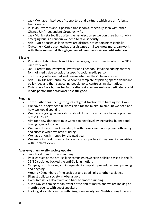- Jas We have mixed set of supporters and partners which are arm's length from Centre.
- Pushkin worries about possible transphobia, especially seen with other Change UK/Independent Group ex-MPs.
- Jas Monica started it up after the last election so we don't see transphobia emerging but is a concern we need to take seriously.
- Ash Not opposed as long as we are distinct, not endorsing essentially.
- **Outcome - Kept at somewhat of a distance until we know more, can work with them somewhat though just avoid direct association until voted on.**

### **Tik tok:**

- Pushkin High outreach and it is an emerging form of media which the NDP used very well.
- Jas Hard to run Instagram, Twitter and Facebook let alone adding another form of media due to lack of a specific social media person.
- Tik Tok is youth oriented and unsure whether they'd be interested.
- Ash On Tik Tok Centre could adopt a template of picking apart a dominant policy idea and then suggesting people go to centre as an alternative.
- **Outcome - Back burner for future discussion when we have dedicated social media person but occasional post still good.**

### **Funding**

- Torrin Aber has been getting lots of great traction with backing by Dixon
- We have put together a business plan for the minimum amount we need and how we would spend it.
- We have ongoing conversations about donations which are looking positive but still unsure.
- Aim for a few donors to take Centre to next level by increasing budget and having regular income.
- We have done a lot in Aberystwyth with money we have proven efficiency and success when we have funding.
- We have enough money for the next year,
- We are not afraid to say no to donors or supporters if they aren't compatible with Centre's views.

### **Aberyswyth university society update**

- Jas Local branch up and running.
- Policies such as the anti-spiking campaign have seen policies passed in the SU.
- 33/80 societies backed the anti-Spiking motion.
- Campaigns on housing and independent complaint procedures are upcoming and ongoing.
- Around 40 members of the societies and good links to other societies.
- Biggest political society in Aberystwyth.
- Executive issues dealt with and back to smooth running.
- Suzie Davies coming for an event at the end of march and we are looking at monthly events with guest speakers.
- Looking at a collaboration with Bangor university and Welsh Young Liberals.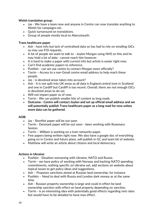### **Welsh translation group:**

- Jas We have a team now and anyone in Centre can now translate anything to Welsh for campaigns etc.
- Quick turnaround on translations.
- Group of people mostly local to Aberystwyth.

### **Trans healthcare paper**

- Ash have info but lack of centralised data so has had to rely on emailing GICs so may use FOI requests.
- A lot of people we want to talk to Joylon Morgan suing NHS on this and he may hold a lot of data - cannot reach him however.
- It is hard to make a paper with current info but article is easier right now.
- Can't find academic papers to reference.
- Pushkin can we use centre to contact Morgan more officially?
- Torrin Access to a non-Gmail centre email address to help reach these people.
- Jas is devolved areas taken into account?
- Ash It is not split into UK areas as all data is England central (one in Scotland and one in Cardiff but Cardiff is too recent. Overall, there are not enough GICs in devolved areas to do so).
- Will not impact paper as of now.
- Torrin We can publish smaller bits of content as long reads
- **Outcome - Centre will contact Joylon and set up official email address and we will potentially publish Trans healthcare paper as a long read for now unless more data can be gathered.**

### **AOB:**

- Jas Shortlist paper will be out soon
- Torrin Denmark paper will be out soon been working with Rosemary Sexton.
- Torrin William is working on a train networks paper.
- Few papers being written right now. We also have a google doc of everything going on in Centre and future plans, will publish in GC and team bit of website.
- Matthew will write an article about citizens and local democracy.

### **Actions in Ukraine:**

- Pushkin Situation worsening with Ukraine, NATO and Russia.
- Torrin we have policy of working with Norway and backing NATO spending commitments, nothing specific on Ukraine yet, add sections on website about topical issues to get policy ideas and suggestions.
- Ash Proposes sanctions aimed at Russian land ownership, for instance
- Pushkin Need to deal with Russia and London dark money as at the same time.
- Ash Russian property ownership is large and could in effect be land ownership sanction with effect on land property depending on sanction.
- Torrin is an interesting idea with potentially good effects regarding rent rates but would have to be detailed to have max effect.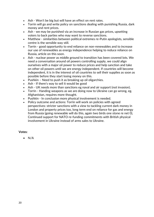- Ash Won't be big but will have an effect on rent rates.
- Torrin will go and write policy on sanctions dealing with punishing Russia, dark money and rent prices.
- Ash we may be punished via an increase in Russian gas prices, upsetting voters to back parties who may want to reverse sanctions.
- Matthew similarities between political extremes re-Putin apologists, sensible centre is the sensible way still.
- Torrin good opportunity to end reliance on non-renewables and to increase our use of renewables as energy independence helping to reduce reliance on Russia, article on this soon.
- Ash nuclear power as middle ground to transition has been covered lots. We need a conversation around oil powers controlling supply, we could align ourselves with a major oil power to reduce prices and help sanction and take on other oil powers until we are energy independent. If countries will become independent, it is in the interest of oil countries to sell their supplies as soon as possible before they start losing money on this.
- Pushkin Need to push it as breaking up oil oligarchies.
- Ash If there's way to sell it would be good
- Ash UK needs more than sanctions eg naval and air support (not invasion).
- Torrin Handing weapons as we are doing now to Ukraine can go wrong, eg. Afghanistan, requires more thought.
- Pushkin In conclusion more physical involvement is needed.
- Policy outcome and actions: Torrin will work on policies with agreed perspectives: stricter sanctions with a view to tackling current dark money in London and property prices too, long term end on reliance for gas and energy from Russia (going renewable will do this, again two birds one stone re net 0), Continued support for NATO re-funding commitments with British physical involvement in Ukraine instead of arms sales to Ukraine.

### **Votes:**

• N/A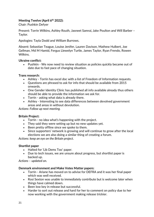### <span id="page-20-0"></span>**Meeting Twelve (April 6 th 2022):**

Chair: Pushkin Defyer

Present: Torrin Wilkins, Ashley Routh, Jasneet Samrai, Jake Poulton and Will Barber – Taylor.

Apologies: Tayla Dodd and William Burrows.

Absent: Sebastian Teague, Louise Jenifer, Lauren Davison, Mathew Hulbert, Joe Gellman, Md M Hamid, Fergus Llewelyn Turtle, James Taylor, Ryan Frendo, Rowen Wilkins.

### **Ukraine conflict:**

• Pushkin - We now need to review situation as policies quickly became out of date due to fast pace of changing situation.

### **Trans research:**

- Ashley Torrin has excel doc with a list of Freedom of Information requests.
- Questions are phrased to ask for info that should be available from 2015 onwards.
- One Gender Identity Clinic has published all info available already thus others should be able to provide the information we ask for.
- Torrin asking what data is already there.
- Ashley Interesting to see data differences between devolved government areas and areas in without devolution.

*Actions: Follow up next meeting.*

### **Britain Project:**

- Torrin no idea what's happening with the project.
- They said they were setting up but no new updates yet.
- Been pretty offline since we spoke to them.
- Since supporters' network is growing and will continue to grow after the local elections we are also doing a similar thing of creating a forum.

*Actions: keep an eye on the Britain project.*

### **Shortlist paper**

- Halted for 'Lib Dems Too' paper.
- Due to tech issues, we are unsure about progress, but shortlist paper is backed up.

*Actions – updated on.*

### **Denmark environment and Make Votes Matter papers:**

- Torrin Ariane has moved on to advise for DEFRA and it was her final paper which was well received.
- Rosi Sexton was unable to immediately contribute but is welcome later when things have calmed down.
- Been low key in release but successful.
- Harder to sort out release and hard for her to comment on policy due to her now working with the government making release trickier.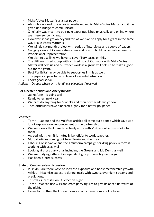- Make Votes Matter is a larger paper.
- Alex who worked for our social media moved to Make Votes Matter and it has given us a bridge to communicate.
- Originally was meant to be single paper published physically and online where we interview politicians.
- However, it has grown beyond this as we plan to apply for a grant in the same way Make Votes Matter is.
- We will do six-month project with series of interviews and couple of papers.
- Gauging views of Conservative areas and how to build conservative case for Proportional Representation.
- We plan to use links we have to cover Tory bases on this.
- The JRF are mixed group with a mixed board. Our work with Make Votes Matter will help us and our wider work as a group will help us to make a good bid for the grant.
- Best For Britain may be able to support us in this as well.
- The papers appear to be on level of excluded situation.
- Looks good so far.

*Actions – Discuss where extra funding is allocated if received.*

### **For a better politics and Aberystwyth:**

- Jas re Aber is going well
- Ready to run next year
- We cant do anything for 5 weeks and then next academic yr now
- Tech difficulties have hindered slightly for a better pol paper

### **Voltface:**

- Torrin Labour and the Voltface articles all came out at once which gave us a lot of exposure on announcement of the partnership.
- We were only think tank to actively work with Voltface when we spoke to them.
- Agreed with them it is mutually beneficial to work together.
- Mutual articles coming out from Torrin and their team.
- Labour, Conservative and the Transform campaign for drug policy reform is working with us as well.
- Looking at cross party orgs including the Greens and Lib Dems as well.
- We are unifying different independent group in one big campaign.
- Has been a large success.

### **State of Centre review discussion:**

- Pushkin are there ways to increase exposure and boost membership growth?
- Ashley Maximise exposure during locals with tweets, overnight streams and predictions.
- This was successful on US election night.
- Torrin We can use Cllrs and cross party figures to give balanced narrative of the night.
- Easier to run than the US elections as council elections are UK based.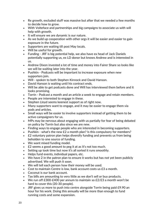- Re growth, excluded stuff was massive but after that we needed a few months to decide how to grow.
- With Volteface and partnerships and big campaigns to associate us with will help with growth.
- It will ensure we are dynamic is our nature.
- As we build up cooperation with other orgs it will be easier and easier to gain exposure in the future.
- Supporters are waiting till post May locals.
- Will be useful for growth.
- Funding JRF is big potential help, we also have ex head of Jack Daniels potentially supporting us, ex LD donor but knows Andrew and is interested in us.
- Andrew Dixon invested a lot of time and money into Fairer Share so looks like we will be waiting later into the year.
- Pushkin Podcasts will be important to increase exposure when new supporters join.
- Will spoken to both Stephen Kinnock and David Hanson.
- David Hanson is waiting until his contract ends.
- Will be able to get podcasts done and Will has interviewed them before and it looks promising.
- Torrin Podcast a month and an article a week to engage and retain members.
- People are interested to engage in these.
- Stephen Lloyd seems keenest support as of right now.
- Many supporters want to engage, and it may be easier to engage them via pods and articles.
- Small ways will be easier to involve supporters instead of getting them to be active campaigners for us.
- MPs may be nervous about engaging with us partially for fear of being debated on policy by Torrin but also since we are new.
- Finding ways to engage people who are interested in becoming supporters.
- Pushkin what's the new £2 a month plan? Is this compulsory for members?
- £2 voluntary patron plan helps diversify funding and prevents us from being beholden to one source of funding.
- We want mixed funding model.
- £2 seems a good amount to peg it at as it's not too much.
- Setting up took time but now it's all sorted it runs smoothly.
- Helps fund events, individual papers, etc.
- We have 2 in the patron plan to ensure it works but has not yet been publicly advertised. We will push it soon.
- We will tell each person how their money will be used.
- Cost to maintain Centre is low, bank account costs us £3 a month.
- Coconut is our bank account.
- Tax bills are amounting to very little as we don't sell or buy products.
- We run off £300-£400 per annum to maintain so £2/£3 a month won't be hard to cover this (20-30 people).
- JRF gives us more to push into centre alongside Torrin being paid £9.90 an hour for his work. Doing this annually will be more than enough to fund running costs and some expansion.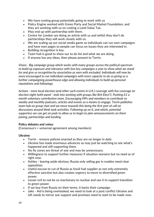- We have costing group potentially going to work with us
- Policy Engine worked with Green Party and Social Market Foundation, and they are working with us on costing a Land Value Tax.
- May end up with partnership with them.
- Centre for London are doing an article with us and whilst they don't do partnerships they will work closely with us.
- We are scaling up our social media game so individuals can run own campaigns and have own pages so people can focus on issues they are interested in.
- Building recognition is key.
- Team hub is good to show our to do list and what we are doing.
- If anyone has any ideas, then please present to Torrin.

*Vision - Big campaign group which works with many groups across the political spectrum to build up exposure and relevance with few key campaigns a year to show what we stand for and give us recognition by association as seen with excluded. Individuals will now be more encouraged to run individual campaigns with more capacity to do so giving us a further campaigning powerhouse edge and allowing individuals to build up personal reputations and followings.*

*Actions - more local election (and other such events in U.K.) coverage with live coverage on election night (with panel - look into working with groups like Brit Elect?). Pushing £2 a month voluntary contribution more. Encouraging MPs and members to contribute to weekly and monthly podcasts, articles and events as a means to engage. Torrin publishes team hub on group chat and we move towards this being the first port of call on discussions around think tank activities. Following up on if, and which, potential supporters we can get on pods to allow us to begin to plan announcements on them joining, partnerships and funding.*

### **Policy debates and votes:**

(Consensus's = universal agreement among members)

### **Ukraine:**

- Torrin remove policies enacted as they are no longer in date.
- Ukraine has made enormous advances so may just be watching to see what's happened and still supporting them.
- No fly zones are threat of war and may be unnecessary.
- Willingness to support further measures if situation worsens but no need as of right now.
- Ashley leaving aside obvious, Russia only selling gas in roubles need clear opposition.
- Useful excuse to cut of Russia as fossil fuel supplier as not only extremely effective sanction but also creates urgency to move to diversified green power.
- Lesser evil to not be so reactionary to nuclear and use it to support transition to green power.
- If we buy from Russia on their terms, it backs their campaign.
- Jake Aid is being overlooked, we need to look at a post conflict Ukraine and UK needs to mirror war support and promises need to start to be made now.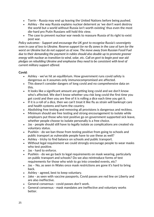- Torrin Russia may end up leaving the United Nations before being pushed.
- Ashley the way Russia explains nuclear deterrent as 'we don't want destroy the world but a world without Russia isn't worth existing' thus even the most die-hard pro Putin Russians will hold this view.
- The case to prevent nuclear war needs to reassure Russia of its right to exist post war.

*Policy outcomes - Support and encourage the UK govt to recognise Russia's sovereignty even in case of loss to Ukraine. Reserve support for no-fly zones in the case of turn for the worst on Ukraine but do not support as of now. The move away from Russian Fossil Fuel due to their demanding the payment in rubles should also double up to promote greener energy with nuclear as transition to wind, solar, etc. Call on govt to begin post war aid pledges on rebuilding Ukraine and emphasise they need to be consistent with level of current military support offered.*

### **Covid:**

- Ashley we've hit an equilibrium. How government runs covid safety is dangerous as it assumes only immunocompromised are affected.
- This doesn't consider dangers of long covid and no comprehensive data on this.
- It looks like a significant amount are getting long covid and we don't know who's affected. We don't know whether you risk long covid the first time you get covid and then you are fine of it is rolling a dice each time you get it.
- If it is a roll of a dice, then we can't treat it like flu as strain will bankrupt care and health systems and harm the country.
- Abolishing free testing and removing all provisions is dangerous and reckless.
- Minimum should see free testing and strong encouragement to isolate while employers put those who test positive go on government supported sick leave, whether people choose to isolate personally is a free choice.
- Jas people should still have to legally isolate as complications are created via voluntary status.
- Pushkin do we ban those from testing positive from going to schools and public transport as vulnerable people have to use these as well?
- Ashley tricky to find balance on schools and public transport.
- Without legal requirement we could strongly encourage people to wear masks who test positive.
- Jas hard to enforce.
- Pushkin do we go back to legal requirements on mask wearing, particularly on public transport and schools? Do we also reintroduce forms of test requirements for those who wish to go into crowded events, etc?
- Jas No, as seen in Wales once mask restrictions are gone it's hard to bring back.
- Ashley agreed, best to keep voluntary.
- Jake as seen with vaccine passports, Covid passes are red line on Liberty and are also ineffective.
- General consensus covid passes don't work.
- General consensus mask mandates are ineffective and voluntary works better.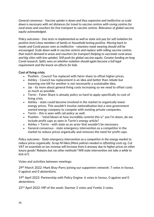*General consensus - Vaccine uptake is down and thus expensive and ineffective so scale down is necessary with set distances for travel to vaccine centres with roving centres for rural areas and vouchers for free transport to vaccine centres. Relevance of global vaccine equity acknowledged.*

*Policy outcomes - free tests re-implemented as well as state sick pay for self-isolation for positive tests\close members of family or household testing positive. Moving back to masks and Covid passes seen as ineffective - voluntary mask wearing should still be encouraged. Scale down walk in vaccine centres and replace with rolling vaccine centres that match demand in areas and vouchers for transport (helping to vaccinate rural areas and big cities with low uptake). Still push for global vaccine equity. Greater funding on long Covid research. Splits seen on whether isolation should again become a full legal requirement and the knock-on effects for kids.*

### **Cost of living crisis:**

- Pushkin Council Tax replaced with fairer share to offset higher prices.
- Ashley Council tax replacement is an idea and better than rebate but lowering one bill for another is not necessarily a sustainable idea.
- Jas its more about general living costs increasing so we need to offset costs as much as possible.
- Torrin Fairer Share is already policy so hard to apply specifically to cost of living crisis.
- Ashley state could become involved in the market to organically lower energy prices. This wouldn't involve nationalisation but a new government owned energy company to compete with existing private companies.
- Torrin this is seen with rail policy as well.
- Pushkin \*mind blown at how incredibly centrist this is\* yea I'm down, do we include profit caps as seen in Torrin's energy article?
- Ashley + Torrin with state as an actor that wouldn't be necessary.
- General consensus state emergency intervention as a competitor in the market to reduce prices organically and removes the need for profit caps.

*Policy outcomes - State emergency intervention as a competitor in the energy market to reduce prices organically. Scrap NI hikes.(More policies needed re offsetting costs eg. Cut VAT on essentials as tax revenue will increase from it anyway due to higher prices on other luxury goods? Rebates but via other methods? Will state intervention not take a while to kick in?).*

Votes and activities between meetings:

29<sup>th</sup> March 2022: Mark Bray-Parry joining our supporters network: 7 votes in favour, 0 against and 0 abstentions.

19<sup>th</sup> April 2022: Partnership with Policy Engine: 6 votes in favour, 0 against and 0 abstentions.

22<sup>nd</sup> April 2022: MP of the week: Starmer 2 votes and Yvette 3 votes.